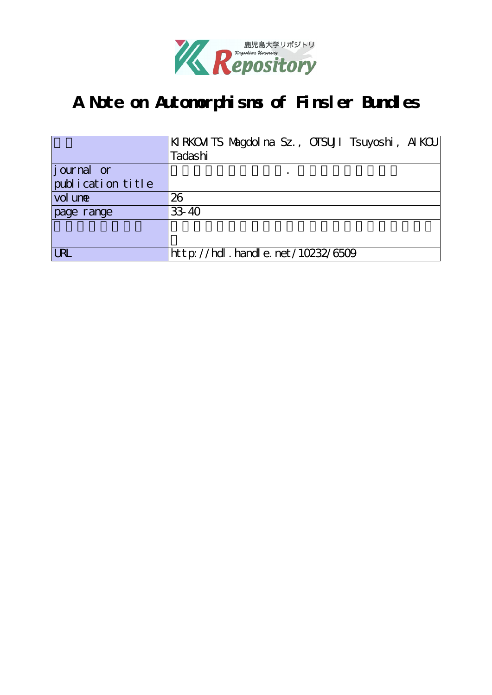

# **A Note on Automorphisms of Finsler Bundles**

|                    | KIRKOM TS Magdol na Sz., OTSUJI Tsuyoshi, AIKOU |
|--------------------|-------------------------------------------------|
|                    | Tadashi                                         |
| <i>j</i> ournal or |                                                 |
| publication title  |                                                 |
| vol une            | 26                                              |
| page range         | 33-40                                           |
|                    |                                                 |
|                    |                                                 |
| URL                | http://hdl.handle.net/10232/6509                |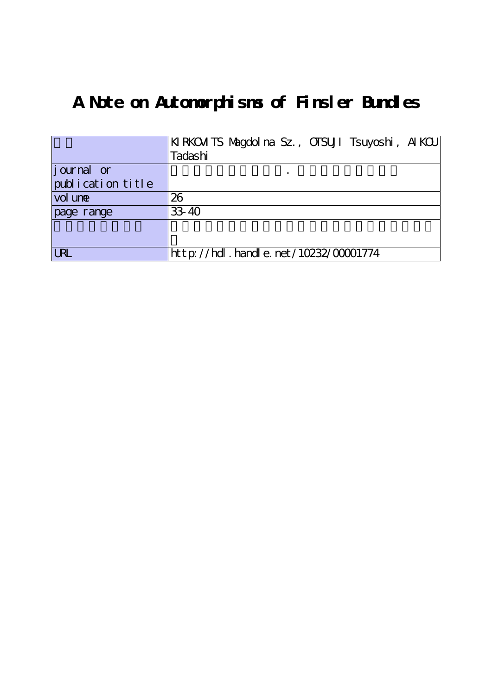# **A Note on Automorphisms of Finsler Bundles**

|                   | KIRKOM TS Magdol na Sz., OTSUJI Tsuyoshi, AIKOU |
|-------------------|-------------------------------------------------|
|                   | Tadashi                                         |
| journal or        |                                                 |
| publication title |                                                 |
| vol une           | 26                                              |
| page range        | 33-40                                           |
|                   |                                                 |
|                   |                                                 |
| <b>URL</b>        | http://hdl.handle.net/10232/00001774            |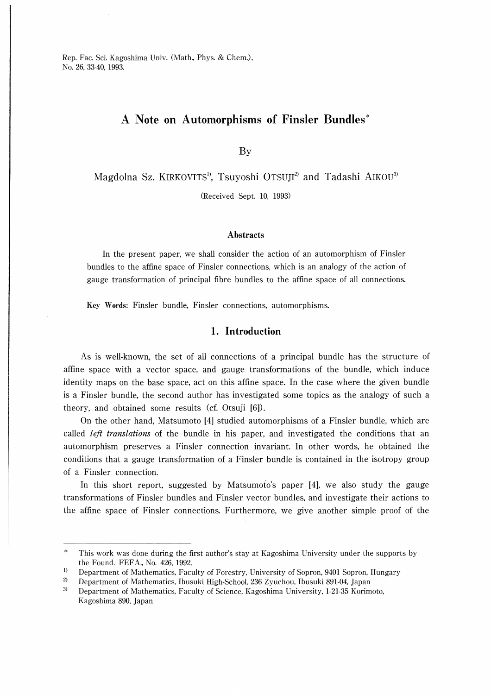Rep. Fac. Sci. Kagoshima Univ. (Math., Phys. & Chem.), No. 26, 33-40, 1993.

## A Note on Automorphisms of Finsler Bundles

By

Magdolna Sz. KIRKOVITS<sup>1</sup>, Tsuyoshi OTSUJI<sup>2</sup> and Tadashi AIKOU<sup>3</sup>

(Received Sept. 10, 1993)

#### **Abstracts**

In the present paper, we shall consider the action of an automorphism of Finsler bundles to the affine space of Finsler connections, which is an analogy of the action of gauge transformation of principal fibre bundles to the affme space of all connections.

Key Words: Finsler bundle, Finsler connections, automorphisms.

#### 1. Introduction

As is well-known, the set of all connections of a principal bundle has the structure of affine space with a vector space, and gauge transformations of the bundle, which induce identity maps on the base space, act on this affine space. In the case where the given bundle is a Finsler bundle, the second author has investigated some topics as the analogy of such a theory, and obtained some results (cf. Otsuji [6]).

On the other hand, Matsumoto [4] studied automorphisms of a Finsler bundle, which are called *left translations* of the bundle in his paper, and investigated the conditions that an automorphism preserves a Finsler connection invariant. In other words, he obtained the conditions that a gauge transformation of a Finsler bundle is contained in the isotropy group of a Finsler connection.

In this short report, suggested by Matsumoto's paper [4], we also study the gauge transformations of Finsler bundles and Finsler vector bundles, and investigate their actions to the affine space of Finsler connections. Furthermore, we give another simple proof of the

This work was done during the first author's stay at Kagoshima University under the supports by the Found. FEFA., No. 426, 1992.

 $1)$ Department of Mathematics, Faculty of Forestry, University of Sopron, 9401 Sopron, Hungary

 $\overline{2}$ Department of Mathematics, Ibusuki High-School, 236 Zyuchou, Ibusuki 891-04, Japan

 $3)$ Department of Mathematics, Faculty of Science, Kagoshima University, 1-21-35 Korimoto, Kagoshima 890, Japan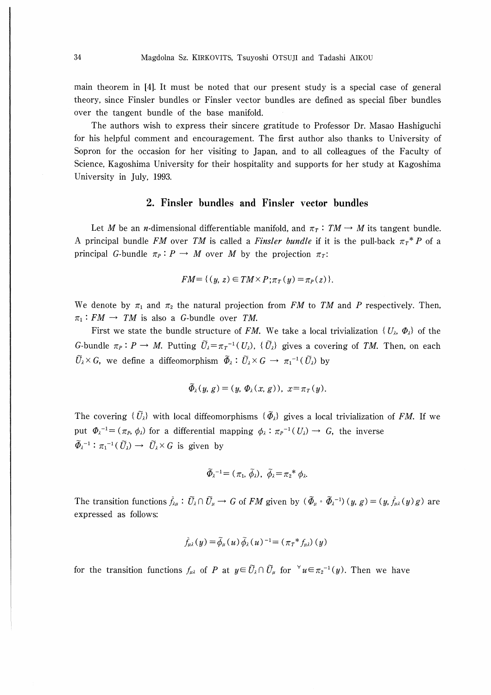main theorem in [4]. It must be noted that our present study is a special case of general theory, since Finsler bundles or Finsler vector bundles are defined as special fiber bundles over the tangent bundle of the base manifold.

The authors wish to express their sincere gratitude to Professor Dr. Masao Hashiguchi for his helpful comment and encouragement. The first author also thanks to University of Sopron for the occasion for her visiting to Japan, and to all colleagues of the Faculty of Science, Kagoshima University for their hospitality and supports for her study at Kagoshima University in July, 1993.

### 2. Finsler bundles and Finsler vector bundles

Let M be an *n*-dimensional differentiable manifold, and  $\pi_T : TM \rightarrow M$  its tangent bundle. A principal bundle FM over TM is called a Finsler bundle if it is the pull-back  $\pi r^* P$  of a principal G-bundle  $\pi_P : P \to M$  over M by the projection  $\pi_T$ :

$$
FM = \{ (y, z) \in TM \times P; \pi_T(y) = \pi_P(z) \}.
$$

We denote by  $\pi_1$  and  $\pi_2$  the natural projection from FM to TM and P respectively. Then,  $\pi_1 : FM \rightarrow TM$  is also a G-bundle over TM.

First we state the bundle structure of FM. We take a local trivialization  $\{U_{\lambda}, \Phi_{\lambda}\}\$  of the G-bundle  $\pi_P: P \to M$ . Putting  $\tilde{U}_\lambda = \pi_T^{-1}(U_\lambda)$ ,  $\{\tilde{U}_\lambda\}$  gives a covering of TM. Then, on each  $\tilde{U}_{\lambda} \times G$ , we define a diffeomorphism  $\tilde{\Phi}_{\lambda} : \tilde{U}_{\lambda} \times G \to \pi_1^{-1}(\tilde{U}_{\lambda})$  by

$$
\widetilde{\Phi}_{\lambda}(y, g) = (y, \Phi_{\lambda}(x, g)), x = \pi_T(y).
$$

The covering  $\{\tilde{U}_{\lambda}\}\$  with local diffeomorphisms  $\{\tilde{\Phi}_{\lambda}\}\$  gives a local trivialization of FM. If we put  $\Phi_{\lambda}^{-1} = (\pi_P, \phi_{\lambda})$  for a differential mapping  $\phi_{\lambda} : \pi_P^{-1}(U_{\lambda}) \to G$ , the inverse  $\widetilde{\Phi}_{\lambda}^{-1}$ :  $\pi_1^{-1}(\widetilde{U}_{\lambda}) \to \widetilde{U}_{\lambda} \times G$  is given by

$$
\widetilde{\varPhi}_{\lambda}^{\ -1} \!= (\pi_1, \, \widetilde{\phi}_{\lambda}), \, \, \widetilde{\phi}_{\lambda} \!=\! \pi_2^* \,\phi_{\lambda}.
$$

The transition functions  $\tilde{f}_{\lambda\mu}: \tilde{U}_{\lambda}\cap \tilde{U}_{\mu}\to G$  of FM given by  $(\tilde{\Phi}_{\mu}\circ \tilde{\Phi}_{\lambda}^{-1})(y, g)=(y, \tilde{f}_{\mu\lambda}(y)g)$  are expressed as follows:

$$
\tilde{f}_{\mu\lambda}(y) = \tilde{\phi}_{\mu}(u) \tilde{\phi}_{\lambda}(u)^{-1} = (\pi_T * f_{\mu\lambda})(y)
$$

for the transition functions  $f_{\mu\lambda}$  of P at  $y \in \tilde{U}_{\lambda} \cap \tilde{U}_{\mu}$  for  $\forall u \in \pi_2^{-1}(y)$ . Then we have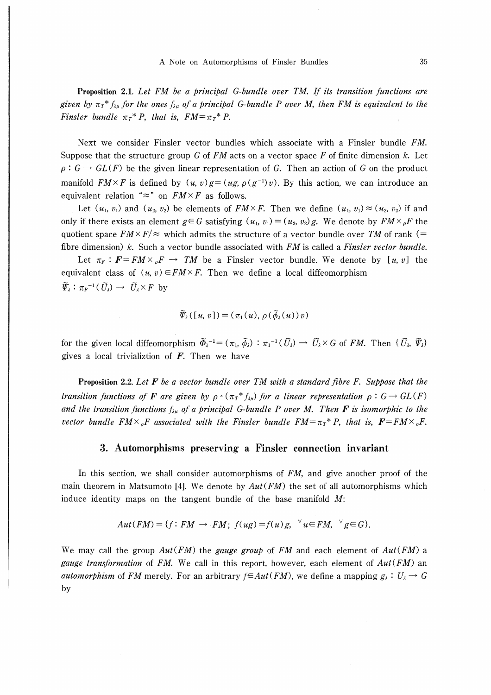Proposition 2.1. Let FM be a principal G-bundle over TM. If its transition functions are given by  $\pi_t^* f_{\lambda\mu}$  for the ones  $f_{\lambda\mu}$  of a principal G-bundle P over M, then FM is equivalent to the Finsler bundle  $\pi_T^* P$ , that is,  $FM = \pi_T^* P$ .

Next we consider Finsler vector bundles which associate with a Finsler bundle FM. Suppose that the structure group G of  $FM$  acts on a vector space F of finite dimension k. Let  $\rho: G \to GL(F)$  be the given linear representation of G. Then an action of G on the product manifold  $FM \times F$  is defined by  $(u, v)g = (ug, \rho(g^{-1})v)$ . By this action, we can introduce an equivalent relation " $\approx$ " on  $FM \times F$  as follows.

Let  $(u_1, v_1)$  and  $(u_2, v_2)$  be elements of  $FM \times F$ . Then we define  $(u_1, v_1) \approx (u_2, v_2)$  if and only if there exists an element  $g \in G$  satisfying  $(u_1, v_1) = (u_2, v_2)g$ . We denote by  $FM \times_{\rho}F$  the quotient space  $F M \times F/\approx$  which admits the structure of a vector bundle over TM of rank (= fibre dimension)  $k$ . Such a vector bundle associated with  $FM$  is called a *Finsler vector bundle*.

Let  $\pi_F : \mathbf{F} = F M \times_{\rho} F \rightarrow TM$  be a Finsler vector bundle. We denote by [u, v] the equivalent class of  $(u, v) \in FM \times F$ . Then we define a local diffeomorphism  $\widetilde{\varPsi}_{\lambda}: \pi_F^{-1}(\widetilde{U}_{\lambda}) \longrightarrow \widetilde{U}_{\lambda} \times F$  by

$$
\widetilde{\varPsi}_{\lambda}([u, v]) = (\pi_1(u), \rho(\widetilde{\phi}_{\lambda}(u))v)
$$

for the given local diffeomorphism  $\widetilde{\Phi}_{\lambda}^{-1} = (\pi_1, \widetilde{\phi}_{\lambda}) : \pi_1^{-1}(\widetilde{U}_{\lambda}) \to \widetilde{U}_{\lambda} \times G$  of FM. Then  $\{ \widetilde{U}_{\lambda}, \widetilde{\Psi}_{\lambda} \}$ gives a local trivializtion of  $F$ . Then we have

**Proposition 2.2.** Let  $\bf{F}$  be a vector bundle over  $\bf{TM}$  with a standard fibre  $\bf{F}$ . Suppose that the transition functions of **F** are given by  $\rho \circ (\pi_T^* f_{\lambda \mu})$  for a linear representation  $\rho : G \to GL(F)$ and the transition functions  $f_{\lambda\mu}$  of a principal G-bundle P over M. Then **F** is isomorphic to the vector bundle  $FM\times_{\rho}F$  associated with the Finsler bundle  $FM=\pi_T^*P$ , that is,  $F=FM\times_{\rho}F$ .

### 3. Automorphisms preserving a Finsler connection invariant

In this section, we shall consider automorphisms of  $FM$ , and give another proof of the main theorem in Matsumoto [4]. We denote by  $Aut(FM)$  the set of all automorphisms which induce identity maps on the tangent bundle of the base manifold  $M$ :

$$
Aut(FM) = \{ f : FM \to FM; \ f(ug) = f(u)g, \ \forall u \in FM, \ \forall g \in G \}.
$$

We may call the group  $Aut(FM)$  the *gauge group* of FM and each element of  $Aut(FM)$  a *gauge transformation* of FM. We call in this report, however, each element of  $Aut(FM)$  an *automorphism* of FM merely. For an arbitrary  $f \in Aut(FM)$ , we define a mapping  $g_{\lambda}: U_{\lambda} \to G$ by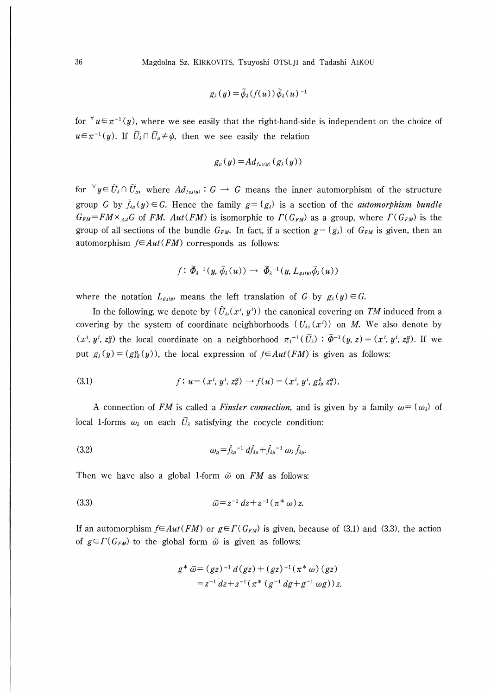$$
g_{\lambda}(y) = \widetilde{\phi}_{\lambda}(f(u)) \widetilde{\phi}_{\lambda}(u)^{-1}
$$

for  $\forall u \in \pi^{-1}(y)$ , where we see easily that the right-hand-side is independent on the choice of  $u \in \pi^{-1}(y)$ . If  $\tilde{U}_\lambda \cap \tilde{U}_\mu \neq \phi$ , then we see easily the relation

$$
g_{\mu}(y) = Ad_{f_{\mu\lambda}(y)}(g_{\lambda}(y))
$$

for  $\forall u \in \widetilde{U}_1 \cap \widetilde{U}_w$  where iof  $y = \bigcup_{\mu} \bigcup_{\mu} \text{ where } \Pi_{\mu}(\mathbf{y}) \cdot \bigcup_{\mu} \Pi_{\mu}(\mathbf{y})$ group G by  $\tilde{f}_{\lambda\mu}(y)\in G$ . Hence the family  $g=\{g_{\lambda}\}\$ is a section of the *automorphism bundle*  $G_{FM}=FM\times_{Ad}G$  of FM. Aut(FM) is isomorphic to  $\Gamma(G_{FM})$  as a group, where  $\Gamma(G_{FM})$  is the group of all sections of the bundle  $G_{FM}$ . In fact, if a section  $g = \{g_{\lambda}\}\$  of  $G_{FM}$  is given, then an automorphism  $f \in Aut(FM)$  corresponds as follows:

$$
f\colon \widetilde{\varPhi}_{\lambda}^{-1}(y,\,\widetilde{\phi}_{\lambda}(u))\rightarrow \ \widetilde{\varPhi}_{\lambda}^{-1}(y,\,L_{g_{\lambda}(y)}\widetilde{\phi}_{\lambda}(u))
$$

where the notation  $L_{g\lambda(y)}$  means the left translation of G by  $g_\lambda(y) \in G$ .

In the following, we denote by  $\{\tilde{U}_{\lambda}(x^i, y^i)\}\)$  the canonical covering on TM induced from a covering by the system of coordinate neighborhoods  $\{U_{\lambda},(x^{i})\}$  on M. We also denote by  $(x^i, y^i, z^{\alpha})$  the local coordinate on a neighborhood  $\pi_1^{-1}(\widetilde{U}_{\lambda}): \widetilde{\Phi}^{-1}(y, z)=(x^i, y^i, z^{\alpha})$ . If we put  $g_{\lambda}(y)=(g_{\lambda\beta}^{\alpha}(y))$ , the local expression of  $f\in Aut(FM)$  is given as follows:

(3.1) 
$$
f: u = (x^i, y^i, z_\beta^\alpha) \rightarrow f(u) = (x^i, y^i, g_{\lambda\beta}^\delta z_\delta^\alpha).
$$

A connection of FM is called a Finsler connection, and is given by a family  $\omega = {\omega_{\lambda}}$  of local 1-forms  $\omega_{\lambda}$  on each  $\tilde{U}_{\lambda}$  satisfying the cocycle condition:

(3.2) 
$$
\omega_{\mu} = \tilde{f}_{\lambda\mu}^{-1} d\tilde{f}_{\lambda\mu} + \tilde{f}_{\lambda\mu}^{-1} \omega_{\lambda} \tilde{f}_{\lambda\mu}.
$$

Then we have also a global 1-form  $\tilde{\omega}$  on FM as follows:

(3.3) 
$$
\tilde{\omega} = z^{-1} dz + z^{-1} (\pi^* \omega) z.
$$

If an automorphism  $f \in Aut(FM)$  or  $g \in \Gamma(G_{FM})$  is given, because of (3.1) and (3.3), the action of  $g \in \Gamma(G_{FM})$  to the global form  $\tilde{\omega}$  is given as follows:

$$
g^* \tilde{\omega} = (gz)^{-1} d(gz) + (gz)^{-1} (\pi^* \omega) (gz)
$$
  
=  $z^{-1} dz + z^{-1} (\pi^* (g^{-1} dg + g^{-1} \omega g)) z$ .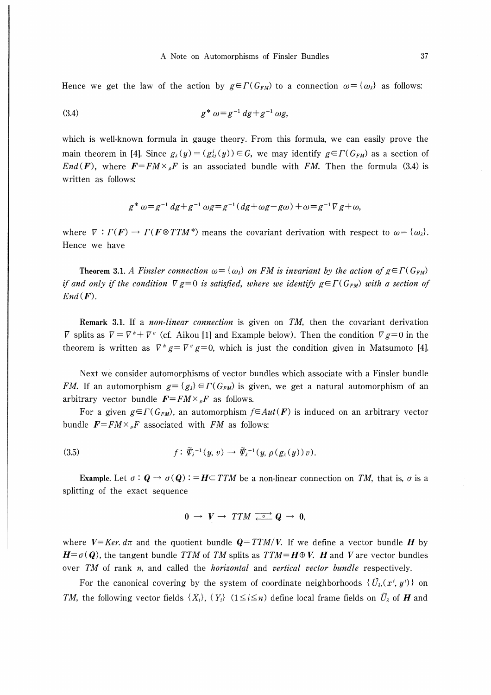Hence we get the law of the action by  $g \in \Gamma(G_{FM})$  to a connection  $\omega = {\{\omega_\lambda\}}$  as follows:

(3.4) 
$$
g^* \omega = g^{-1} dg + g^{-1} \omega g,
$$

which is well-known formula in gauge theory. From this formula, we can easily prove the main theorem in [4]. Since  $g_{\lambda}(y) = (g_{\lambda}^{i}(y)) \in G$ , we may identify  $g \in \Gamma(G_{FM})$  as a section of End(F), where  $F = FM \times {}_{o}F$  is an associated bundle with FM. Then the formula (3.4) is written as follows:

$$
g^* \omega = g^{-1} dg + g^{-1} \omega g = g^{-1} (dg + \omega g - g\omega) + \omega = g^{-1} \nabla g + \omega,
$$

where  $\nabla : \Gamma(F) \to \Gamma(F \otimes T T M^*)$  means the covariant derivation with respect to  $\omega = {\omega_i}$ . Hence we have

Theorem 3.1. A Finsler connection  $\omega = {\{\omega_i\}}$  on FM is invariant by the action of  $g \in \Gamma(G_{FM})$ if and only if the condition  $\nabla g=0$  is satisfied, where we identify  $g\in \Gamma(G_{FM})$  with a section of  $End(F)$ .

Remark 3.1. If a *non-linear connection* is given on TM, then the covariant derivation  $\nabla$  splits as  $\nabla = \nabla^k + \nabla^v$  (cf. Aikou [1] and Example below). Then the condition  $\nabla g=0$  in the theorem is written as  $\nabla^h g = \nabla^v g = 0$ , which is just the condition given in Matsumoto [4].

Next we consider automorphisms of vector bundles which associate with a Finsler bundle FM. If an automorphism  $g = \{g_i\} \in \Gamma(G_{FM})$  is given, we get a natural automorphism of an arbitrary vector bundle  $\mathbf{F}=F M \times_{\rho} \mathbf{F}$  as follows.

For a given  $g\in\Gamma(G_{FM})$ , an automorphism  $f\in Aut(F)$  is induced on an arbitrary vector bundle  $\mathbf{F} = F M \times_{\rho} \mathbf{F}$  associated with FM as follows:

$$
(3.5) \t\t f: \widetilde{\varPsi}_{\lambda}^{-1}(y,v) \to \widetilde{\varPsi}_{\lambda}^{-1}(y,\rho(g_{\lambda}(y))v).
$$

Example. Let  $\sigma: \mathbf{Q} \to \sigma(\mathbf{Q})$ : =  $\mathbf{H} \subset TTM$  be a non-linear connection on TM, that is,  $\sigma$  is a splitting of the exact sequence

$$
0 \rightarrow V \rightarrow TTM \stackrel{\sigma}{\longleftarrow} Q \rightarrow 0,
$$

where  $V=Ker. d\pi$  and the quotient bundle  $Q=TTM/V$ . If we define a vector bundle H by  $H = \sigma(Q)$ , the tangent bundle TTM of TM splits as TTM=H $\oplus$  V. H and V are vector bundles over  $TM$  of rank n, and called the *horizontal* and *vertical vector bundle* respectively.

For the canonical covering by the system of coordinate neighborhoods  $\{\widetilde{U}_{\lambda},(x^i, y^i)\}$  on TM, the following vector fields  $\{X_i\}$ ,  $\{Y_i\}$   $(1 \le i \le n)$  define local frame fields on  $\tilde{U}_\lambda$  of **H** and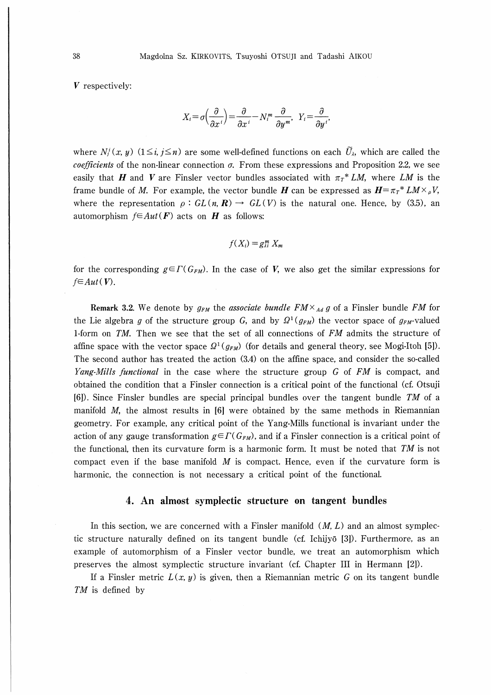V respectively:

$$
X_i = \sigma\left(\frac{\partial}{\partial x^i}\right) = \frac{\partial}{\partial x^i} - N_i^m \frac{\partial}{\partial y^m}, \ \ Y_i = \frac{\partial}{\partial y^i},
$$

where  $N_i^i(x, y)$  ( $1 \le i, j \le n$ ) are some well-defined functions on each  $\tilde{U}_\lambda$ , which are called the *coefficients* of the non-linear connection  $\sigma$ . From these expressions and Proposition 2.2, we see easily that H and V are Finsler vector bundles associated with  $\pi_T^*LM$ , where LM is the frame bundle of M. For example, the vector bundle H can be expressed as  $H = \pi_T * LM \times \rho V$ , where the representation  $\rho : GL(n, \mathbb{R}) \to GL(V)$  is the natural one. Hence, by (3.5), an automorphism  $f \in Aut(F)$  acts on H as follows:

$$
f(X_i) = g_{\lambda i}^m X_m
$$

for the corresponding  $g\in\Gamma(G_{FM})$ . In the case of V, we also get the similar expressions for  $f \in Aut(V)$ .

Remark 3.2. We denote by  $g_{FM}$  the associate bundle  $FM \times_{Ad} g$  of a Finsler bundle FM for the Lie algebra g of the structure group G, and by  $\Omega^1(g_{FM})$  the vector space of  $g_{FM}$ -valued 1-form on TM. Then we see that the set of all connections of FM admits the structure of affine space with the vector space  $\Omega^1(g_{FM})$  (for details and general theory, see Mogi-Itoh [5]). The second author has treated the action (3.4) on the affine space, and consider the so-called Yang-Mills functional in the case where the structure group G of FM is compact, and obtained the condition that a Finsler connection is a critical point of the functional (ct Otsuji [6]). Since Finsler bundles are special principal bundles over the tangent bundle TM of a manifold  $M$ , the almost results in [6] were obtained by the same methods in Riemannian geometry. For example, any critical point of the Yang-Mills functional is invariant under the action of any gauge transformation  $g\in\Gamma(G_{FM})$ , and if a Finsler connection is a critical point of the functional, then its curvature form is a harmonic form. It must be noted that  $TM$  is not compact even if the base manifold  $M$  is compact. Hence, even if the curvature form is harmonic, the connection is not necessary a critical point of the functional.

#### 4. An almost symplectic structure on tangent bundles

In this section, we are concerned with a Finsler manifold  $(M, L)$  and an almost symplectic structure naturally defined on its tangent bundle (cf. Ichijyō [3]). Furthermore, as an example of automorphism of a Finsler vector bundle, we treat an automorphism which preserves the almost symplectic structure invariant (cf. Chapter III in Hermann [2]).

If a Finsler metric  $L(x, y)$  is given, then a Riemannian metric G on its tangent bundle TM is defined by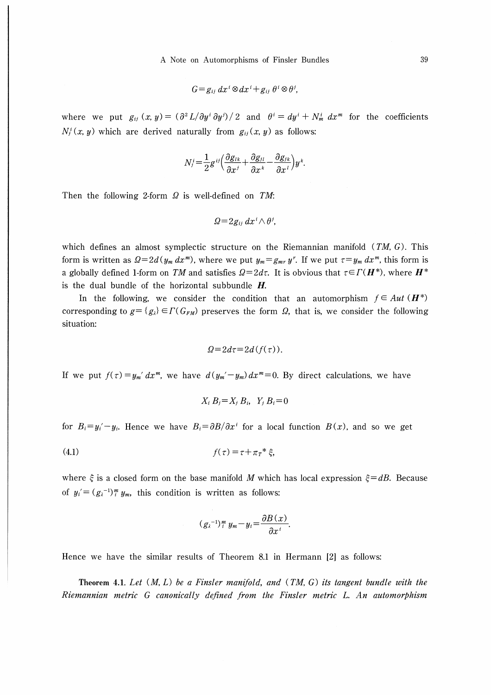$$
G = g_{ij} dx^{i} \otimes dx^{i} + g_{ij} \theta^{i} \otimes \theta^{j},
$$

where we put  $g_{ij}(x, y) = (\partial^2 L/\partial y^i \partial y^j)/2$  and  $\theta^i = dy^i + N_m^i dx^m$  for the coefficients  $N_i^i(x, y)$  which are derived naturally from  $g_{ii}(x, y)$  as follows:

$$
N_j^i = \frac{1}{2}g^{ij}\left(\frac{\partial g_{lk}}{\partial x^j} + \frac{\partial g_{jl}}{\partial x^k} - \frac{\partial g_{jk}}{\partial x^l}\right)y^k.
$$

Then the following 2-form  $\Omega$  is well-defined on TM:

$$
\varOmega = 2g_{ii} \, dx^i \wedge \theta^j,
$$

which defines an almost symplectic structure on the Riemannian manifold  $(TM, G)$ . This form is written as  $Q=2d(y_m dx^m)$ , where we put  $y_m=g_{mr}y^r$ . If we put  $\tau=y_m dx^m$ , this form is a globally defined 1-form on TM and satisfies  $\Omega = 2d\tau$ . It is obvious that  $\tau \in \Gamma(H^*)$ , where  $H^*$ is the dual bundle of the horizontal subbundle  $H$ .

In the following, we consider the condition that an automorphism  $f \in Aut$  ( $H^*$ ) corresponding to  $g = \{g_i\} \in \Gamma(G_{FM})$  preserves the form  $\Omega$ , that is, we consider the following situation:

$$
Q=2d\tau=2d(f(\tau)).
$$

If we put  $f(\tau) = y_m' dx^m$ , we have  $d(y_m'-y_m) dx^m = 0$ . By direct calculations, we have

$$
X_i B_j = X_j B_i, \quad Y_j B_i = 0
$$

for  $B_i = y_i' - y_i$ . Hence we have  $B_i = \frac{\partial B}{\partial x^i}$  for a local function  $B(x)$ , and so we get

$$
(4.1) \t\t f(\tau) = \tau + \pi \tau^* \xi,
$$

where  $\xi$  is a closed form on the base manifold M which has local expression  $\xi=dB$ . Because of  $y_i' = (g_i^{-1})_i^m y_m$ , this condition is written as follows:

$$
(g_{\lambda}^{-1})_i^m y_m - y_i = \frac{\partial B(x)}{\partial x^i}.
$$

Hence we have the similar results of Theorem 8.1 in Hermann [2] as follows:

Theorem 4.1. Let  $(M, L)$  be a Finsler manifold, and  $(TM, G)$  its tangent bundle with the Riemannian metric G canonically defined from the Finsler metric L. An automorphism